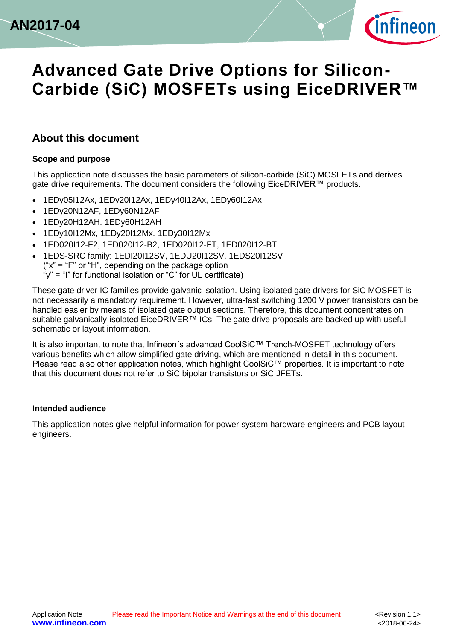



#### <span id="page-0-0"></span>**About this document**

#### **Scope and purpose**

This application note discusses the basic parameters of silicon-carbide (SiC) MOSFETs and derives gate drive requirements. The document considers the following EiceDRIVER™ products.

- 1EDy05I12Ax, 1EDy20I12Ax, 1EDy40I12Ax, 1EDy60I12Ax
- 1EDy20N12AF, 1EDy60N12AF
- 1EDy20H12AH. 1EDy60H12AH
- 1EDy10I12Mx, 1EDy20I12Mx. 1EDy30I12Mx
- 1ED020I12-F2, 1ED020I12-B2, 1ED020I12-FT, 1ED020I12-BT
- 1EDS-SRC family: 1EDI20I12SV, 1EDU20I12SV, 1EDS20I12SV

 $("x" = "F" or "H", depending on the package option"$ 

"y" = "I" for functional isolation or "C" for UL certificate)

These gate driver IC families provide galvanic isolation. Using isolated gate drivers for SiC MOSFET is not necessarily a mandatory requirement. However, ultra-fast switching 1200 V power transistors can be handled easier by means of isolated gate output sections. Therefore, this document concentrates on suitable galvanically-isolated EiceDRIVER™ ICs. The gate drive proposals are backed up with useful schematic or layout information.

It is also important to note that Infineon´s advanced CoolSiC™ Trench-MOSFET technology offers various benefits which allow simplified gate driving, which are mentioned in detail in this document. Please read also other application notes, which highlight CoolSiC™ properties. It is important to note that this document does not refer to SiC bipolar transistors or SiC JFETs.

#### **Intended audience**

This application notes give helpful information for power system hardware engineers and PCB layout engineers.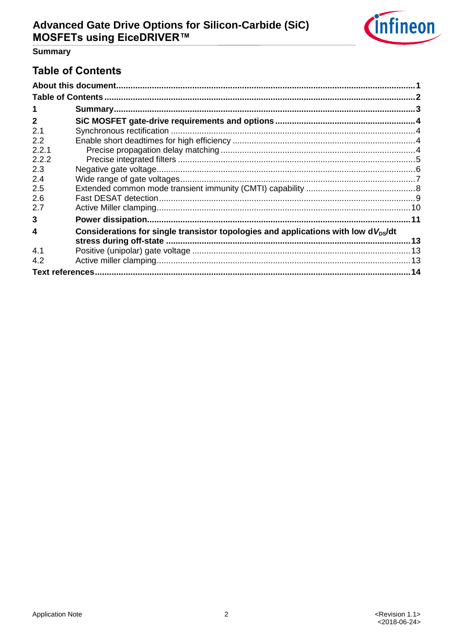

## **Summary**

## <span id="page-1-0"></span>**Table of Contents**

| 1            |                                                                                                 |  |
|--------------|-------------------------------------------------------------------------------------------------|--|
| $\mathbf{2}$ |                                                                                                 |  |
| 2.1          |                                                                                                 |  |
| 2.2          |                                                                                                 |  |
| 2.2.1        |                                                                                                 |  |
| 2.2.2        |                                                                                                 |  |
| 2.3          |                                                                                                 |  |
| 2.4          |                                                                                                 |  |
| 2.5          |                                                                                                 |  |
| 2.6          |                                                                                                 |  |
| 2.7          |                                                                                                 |  |
| 3            |                                                                                                 |  |
| 4            | Considerations for single transistor topologies and applications with low d $V_{\text{ps}}$ /dt |  |
| 4.1          |                                                                                                 |  |
| 4.2          |                                                                                                 |  |
|              |                                                                                                 |  |
|              |                                                                                                 |  |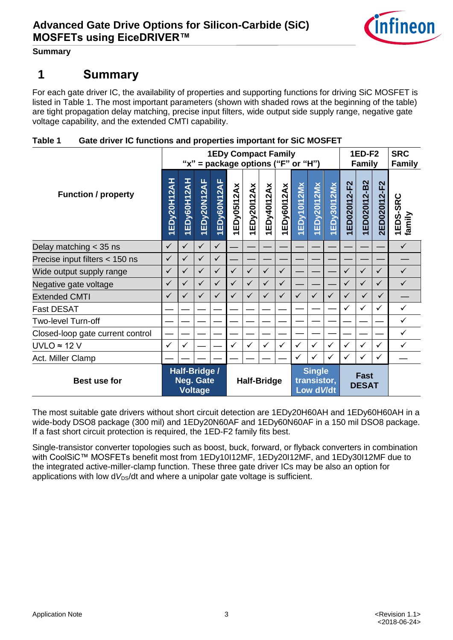

**Summary**

## <span id="page-2-0"></span>**1 Summary**

For each gate driver IC, the availability of properties and supporting functions for driving SiC MOSFET is listed in [Table 1.](#page-2-1) The most important parameters (shown with shaded rows at the beginning of the table) are tight propagation delay matching, precise input filters, wide output side supply range, negative gate voltage capability, and the extended CMTI capability.

<span id="page-2-1"></span>

| Table 1 | Gate driver IC functions and properties important for SiC MOSFET |
|---------|------------------------------------------------------------------|
|         |                                                                  |

| <b>Function / property</b>       |                                                     | <b>1EDy Compact Family</b><br>" $x$ " = package options ("F" or "H") |                              |              |              |              |                                            |              |              |                             | 1ED-F2<br><b>Family</b> |              |              | <b>SRC</b><br><b>Family</b> |                    |
|----------------------------------|-----------------------------------------------------|----------------------------------------------------------------------|------------------------------|--------------|--------------|--------------|--------------------------------------------|--------------|--------------|-----------------------------|-------------------------|--------------|--------------|-----------------------------|--------------------|
|                                  |                                                     | 1EDy60H12AH                                                          | EDy20N12AF<br>$\overline{ }$ | 1EDy60N12AF  | EDy05112Ax   | 1EDy20112Ax  | EDy40112Ax                                 | 1EDy60I12Ax  | 1EDy10112Mx  | EDy20112Mx                  | 1EDy30112Mx             | ED020112-F2  | 1ED020112-B2 | 2ED020112-F2                | 1EDS-SRC<br>family |
| Delay matching $<$ 35 ns         | $\checkmark$                                        | $\checkmark$                                                         | ✓                            | $\checkmark$ |              |              |                                            |              |              |                             |                         |              |              |                             | ✓                  |
| Precise input filters < 150 ns   | $\checkmark$                                        | ✓                                                                    | $\checkmark$                 | $\checkmark$ |              |              |                                            |              |              |                             |                         |              |              |                             |                    |
| Wide output supply range         | $\checkmark$                                        | ✓                                                                    | ✓                            | $\checkmark$ | $\checkmark$ | $\checkmark$ | $\checkmark$                               | $\checkmark$ |              |                             |                         | $\checkmark$ | ✓            | $\checkmark$                | $\checkmark$       |
| Negative gate voltage            |                                                     | $\checkmark$                                                         | $\checkmark$                 | $\checkmark$ | $\checkmark$ | $\checkmark$ | $\checkmark$                               | $\checkmark$ |              |                             |                         | $\checkmark$ | $\checkmark$ | $\checkmark$                | $\checkmark$       |
| <b>Extended CMTI</b>             |                                                     | ✓                                                                    | $\checkmark$                 | $\checkmark$ | $\checkmark$ | $\checkmark$ | $\checkmark$                               | $\checkmark$ | $\checkmark$ | $\checkmark$                | $\checkmark$            | $\checkmark$ | $\checkmark$ | $\checkmark$                |                    |
| <b>Fast DESAT</b>                |                                                     |                                                                      |                              |              |              |              |                                            |              |              |                             |                         | $\checkmark$ | ✓            | ✓                           | ✓                  |
| Two-level Turn-off               |                                                     |                                                                      |                              |              |              |              |                                            |              |              |                             |                         |              |              |                             | $\checkmark$       |
| Closed-loop gate current control |                                                     |                                                                      |                              |              |              |              |                                            |              |              |                             |                         |              |              |                             | $\checkmark$       |
| $UVLO \approx 12 V$              | $\checkmark$                                        | ✓                                                                    |                              |              | $\checkmark$ | $\checkmark$ | $\checkmark$                               | $\checkmark$ | $\checkmark$ | ✓                           | $\checkmark$            | $\checkmark$ | ✓            | ✓                           | ✓                  |
| Act. Miller Clamp                |                                                     |                                                                      |                              |              |              |              |                                            |              | $\checkmark$ | ✓                           | $\checkmark$            | $\checkmark$ | ✓            | $\checkmark$                |                    |
| <b>Best use for</b>              | Half-Bridge /<br><b>Neg. Gate</b><br><b>Voltage</b> |                                                                      | <b>Half-Bridge</b>           |              |              |              | <b>Single</b><br>transistor,<br>Low d V/dt |              |              | <b>Fast</b><br><b>DESAT</b> |                         |              |              |                             |                    |

The most suitable gate drivers without short circuit detection are 1EDy20H60AH and 1EDy60H60AH in a wide-body DSO8 package (300 mil) and 1EDy20N60AF and 1EDy60N60AF in a 150 mil DSO8 package. If a fast short circuit protection is required, the 1ED-F2 family fits best.

Single-transistor converter topologies such as boost, buck, forward, or flyback converters in combination with CoolSiC™ MOSFETs benefit most from 1EDy10I12MF, 1EDy20I12MF, and 1EDy30I12MF due to the integrated active-miller-clamp function. These three gate driver ICs may be also an option for applications with low  $dV_{DS}/dt$  and where a unipolar gate voltage is sufficient.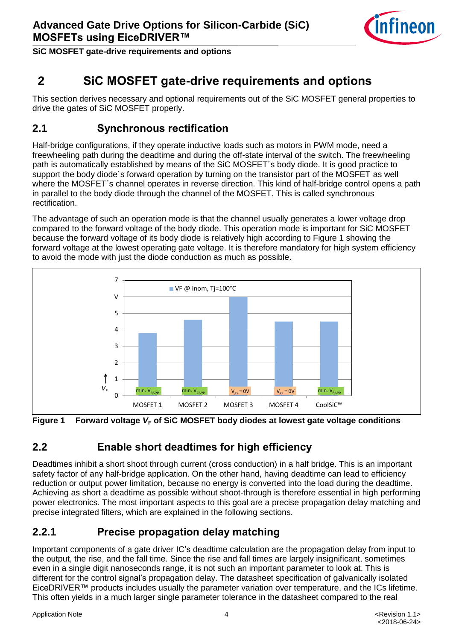

**SiC MOSFET gate-drive requirements and options**

## <span id="page-3-0"></span>**2 SiC MOSFET gate-drive requirements and options**

This section derives necessary and optional requirements out of the SiC MOSFET general properties to drive the gates of SiC MOSFET properly.

#### <span id="page-3-1"></span>**2.1 Synchronous rectification**

Half-bridge configurations, if they operate inductive loads such as motors in PWM mode, need a freewheeling path during the deadtime and during the off-state interval of the switch. The freewheeling path is automatically established by means of the SiC MOSFET´s body diode. It is good practice to support the body diode´s forward operation by turning on the transistor part of the MOSFET as well where the MOSFET´s channel operates in reverse direction. This kind of half-bridge control opens a path in parallel to the body diode through the channel of the MOSFET. This is called synchronous rectification.

The advantage of such an operation mode is that the channel usually generates a lower voltage drop compared to the forward voltage of the body diode. This operation mode is important for SiC MOSFET because the forward voltage of its body diode is relatively high according to [Figure 1](#page-3-4) showing the forward voltage at the lowest operating gate voltage. It is therefore mandatory for high system efficiency to avoid the mode with just the diode conduction as much as possible.



<span id="page-3-4"></span>**Figure 1 Forward voltage** *V***<sup>F</sup> of SiC MOSFET body diodes at lowest gate voltage conditions**

## <span id="page-3-2"></span>**2.2 Enable short deadtimes for high efficiency**

Deadtimes inhibit a short shoot through current (cross conduction) in a half bridge. This is an important safety factor of any half-bridge application. On the other hand, having deadtime can lead to efficiency reduction or output power limitation, because no energy is converted into the load during the deadtime. Achieving as short a deadtime as possible without shoot-through is therefore essential in high performing power electronics. The most important aspects to this goal are a precise propagation delay matching and precise integrated filters, which are explained in the following sections.

## <span id="page-3-3"></span>**2.2.1 Precise propagation delay matching**

Important components of a gate driver IC's deadtime calculation are the propagation delay from input to the output, the rise, and the fall time. Since the rise and fall times are largely insignificant, sometimes even in a single digit nanoseconds range, it is not such an important parameter to look at. This is different for the control signal's propagation delay. The datasheet specification of galvanically isolated EiceDRIVER™ products includes usually the parameter variation over temperature, and the ICs lifetime. This often yields in a much larger single parameter tolerance in the datasheet compared to the real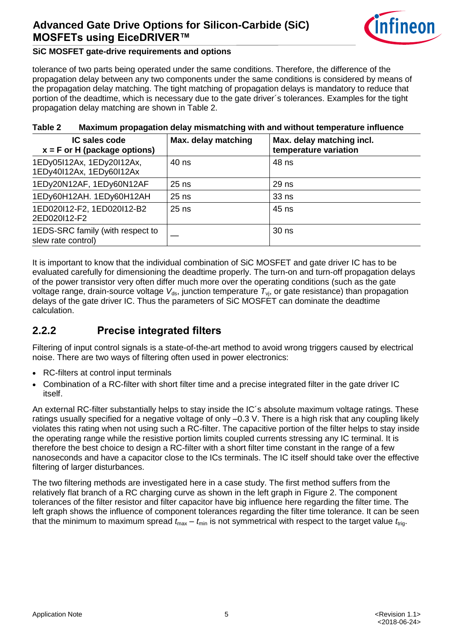

#### **SiC MOSFET gate-drive requirements and options**

tolerance of two parts being operated under the same conditions. Therefore, the difference of the propagation delay between any two components under the same conditions is considered by means of the propagation delay matching. The tight matching of propagation delays is mandatory to reduce that portion of the deadtime, which is necessary due to the gate driver´s tolerances. Examples for the tight propagation delay matching are shown in [Table 2.](#page-4-1)

| <b>IC sales code</b><br>$x = F$ or H (package options) | Max. delay matching | Max. delay matching incl.<br>temperature variation |  |  |  |  |
|--------------------------------------------------------|---------------------|----------------------------------------------------|--|--|--|--|
| 1EDy05I12Ax, 1EDy20I12Ax,<br>1EDy40I12Ax, 1EDy60I12Ax  | 40 ns               | 48 ns                                              |  |  |  |  |
| 1EDy20N12AF, 1EDy60N12AF                               | $25$ ns             | 29 ns                                              |  |  |  |  |
| 1EDy60H12AH. 1EDy60H12AH                               | $25$ ns             | 33 <sub>ns</sub>                                   |  |  |  |  |
| 1ED020I12-F2, 1ED020I12-B2<br>2ED020112-F2             | $25$ ns             | 45 ns                                              |  |  |  |  |
| 1EDS-SRC family (with respect to<br>slew rate control) |                     | 30 ns                                              |  |  |  |  |

#### <span id="page-4-1"></span>**Table 2 Maximum propagation delay mismatching with and without temperature influence**

It is important to know that the individual combination of SiC MOSFET and gate driver IC has to be evaluated carefully for dimensioning the deadtime properly. The turn-on and turn-off propagation delays of the power transistor very often differ much more over the operating conditions (such as the gate voltage range, drain-source voltage V<sub>ds</sub>, junction temperature  $T_{\rm vj}$ , or gate resistance) than propagation delays of the gate driver IC. Thus the parameters of SiC MOSFET can dominate the deadtime calculation.

#### <span id="page-4-0"></span>**2.2.2 Precise integrated filters**

Filtering of input control signals is a state-of-the-art method to avoid wrong triggers caused by electrical noise. There are two ways of filtering often used in power electronics:

- RC-filters at control input terminals
- Combination of a RC-filter with short filter time and a precise integrated filter in the gate driver IC itself.

An external RC-filter substantially helps to stay inside the IC´s absolute maximum voltage ratings. These ratings usually specified for a negative voltage of only –0.3 V. There is a high risk that any coupling likely violates this rating when not using such a RC-filter. The capacitive portion of the filter helps to stay inside the operating range while the resistive portion limits coupled currents stressing any IC terminal. It is therefore the best choice to design a RC-filter with a short filter time constant in the range of a few nanoseconds and have a capacitor close to the ICs terminals. The IC itself should take over the effective filtering of larger disturbances.

The two filtering methods are investigated here in a case study. The first method suffers from the relatively flat branch of a RC charging curve as shown in the left graph in [Figure 2.](#page-5-1) The component tolerances of the filter resistor and filter capacitor have big influence here regarding the filter time. The left graph shows the influence of component tolerances regarding the filter time tolerance. It can be seen that the minimum to maximum spread  $t_{max} - t_{min}$  is not symmetrical with respect to the target value  $t_{trig}$ .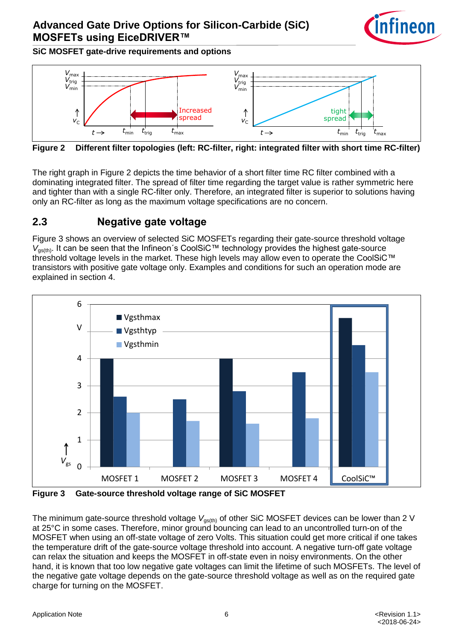

**SiC MOSFET gate-drive requirements and options**



<span id="page-5-1"></span>**Figure 2 Different filter topologies (left: RC-filter, right: integrated filter with short time RC-filter)**

The right graph in [Figure 2](#page-5-1) depicts the time behavior of a short filter time RC filter combined with a dominating integrated filter. The spread of filter time regarding the target value is rather symmetric here and tighter than with a single RC-filter only. Therefore, an integrated filter is superior to solutions having only an RC-filter as long as the maximum voltage specifications are no concern.

#### <span id="page-5-3"></span><span id="page-5-0"></span>**2.3 Negative gate voltage**

[Figure 3](#page-5-2) shows an overview of selected SiC MOSFETs regarding their gate-source threshold voltage *V*<sub>as(th)</sub>. It can be seen that the Infineon's CoolSiC™ technology provides the highest gate-source threshold voltage levels in the market. These high levels may allow even to operate the CoolSiC™ transistors with positive gate voltage only. Examples and conditions for such an operation mode are explained in section [4.](#page-12-3)



<span id="page-5-2"></span>**Figure 3 Gate-source threshold voltage range of SiC MOSFET**

The minimum gate-source threshold voltage V<sub>gs(th)</sub> of other SiC MOSFET devices can be lower than 2 V at 25°C in some cases. Therefore, minor ground bouncing can lead to an uncontrolled turn-on of the MOSFET when using an off-state voltage of zero Volts. This situation could get more critical if one takes the temperature drift of the gate-source voltage threshold into account. A negative turn-off gate voltage can relax the situation and keeps the MOSFET in off-state even in noisy environments. On the other hand, it is known that too low negative gate voltages can limit the lifetime of such MOSFETs. The level of the negative gate voltage depends on the gate-source threshold voltage as well as on the required gate charge for turning on the MOSFET.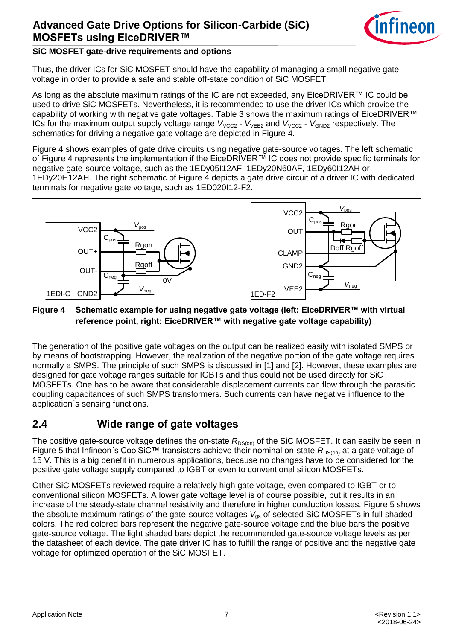

#### **SiC MOSFET gate-drive requirements and options**

Thus, the driver ICs for SiC MOSFET should have the capability of managing a small negative gate voltage in order to provide a safe and stable off-state condition of SiC MOSFET.

As long as the absolute maximum ratings of the IC are not exceeded, any EiceDRIVER™ IC could be used to drive SiC MOSFETs. Nevertheless, it is recommended to use the driver ICs which provide the capability of working with negative gate voltages. [Table 3](#page-7-1) shows the maximum ratings of EiceDRIVER™ ICs for the maximum output supply voltage range  $V_{VCC2}$  -  $V_{VEE2}$  and  $V_{VCC2}$  -  $V_{GND2}$  respectively. The schematics for driving a negative gate voltage are depicted in [Figure 4.](#page-6-1)

[Figure 4](#page-6-1) shows examples of gate drive circuits using negative gate-source voltages. The left schematic of [Figure 4](#page-6-1) represents the implementation if the EiceDRIVER™ IC does not provide specific terminals for negative gate-source voltage, such as the 1EDy05I12AF, 1EDy20N60AF, 1EDy60I12AH or 1EDy20H12AH. The right schematic of [Figure 4](#page-6-1) depicts a gate drive circuit of a driver IC with dedicated terminals for negative gate voltage, such as 1ED020I12-F2.



#### <span id="page-6-1"></span>**Figure 4 Schematic example for using negative gate voltage (left: EiceDRIVER™ with virtual reference point, right: EiceDRIVER™ with negative gate voltage capability)**

The generation of the positive gate voltages on the output can be realized easily with isolated SMPS or by means of bootstrapping. However, the realization of the negative portion of the gate voltage requires normally a SMPS. The principle of such SMPS is discussed in [\[1\]](#page-13-1) and [\[2\].](#page-13-2) However, these examples are designed for gate voltage ranges suitable for IGBTs and thus could not be used directly for SiC MOSFETs. One has to be aware that considerable displacement currents can flow through the parasitic coupling capacitances of such SMPS transformers. Such currents can have negative influence to the application´s sensing functions.

## <span id="page-6-0"></span>**2.4 Wide range of gate voltages**

The positive gate-source voltage defines the on-state R<sub>DS(on)</sub> of the SiC MOSFET. It can easily be seen in [Figure 5](#page-7-2) that Infineon´s CoolSiC™ transistors achieve their nominal on-state  $R_{DS(0n)}$  at a gate voltage of 15 V. This is a big benefit in numerous applications, because no changes have to be considered for the positive gate voltage supply compared to IGBT or even to conventional silicon MOSFETs.

Other SiC MOSFETs reviewed require a relatively high gate voltage, even compared to IGBT or to conventional silicon MOSFETs. A lower gate voltage level is of course possible, but it results in an increase of the steady-state channel resistivity and therefore in higher conduction losses. [Figure 5](#page-7-2) shows the absolute maximum ratings of the gate-source voltages V<sub>as</sub> of selected SiC MOSFETs in full shaded colors. The red colored bars represent the negative gate-source voltage and the blue bars the positive gate-source voltage. The light shaded bars depict the recommended gate-source voltage levels as per the datasheet of each device. The gate driver IC has to fulfill the range of positive and the negative gate voltage for optimized operation of the SiC MOSFET.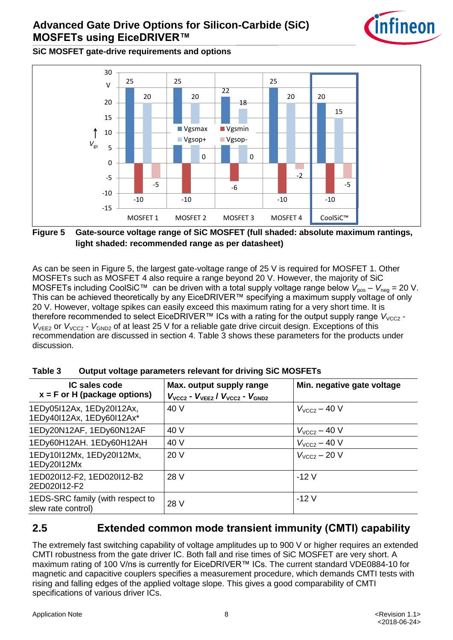

**SiC MOSFET gate-drive requirements and options**



<span id="page-7-2"></span>**Figure 5 Gate-source voltage range of SiC MOSFET (full shaded: absolute maximum rantings, light shaded: recommended range as per datasheet)**

As can be seen in [Figure 5,](#page-7-2) the largest gate-voltage range of 25 V is required for MOSFET 1. Other MOSFETs such as MOSFET 4 also require a range beyond 20 V. However, the majority of SiC MOSFETs including CoolSiC<sup>™</sup> can be driven with a total supply voltage range below  $V_{pos} - V_{neg} = 20$  V. This can be achieved theoretically by any EiceDRIVER™ specifying a maximum supply voltage of only 20 V. However, voltage spikes can easily exceed this maximum rating for a very short time. It is therefore recommended to select EiceDRIVER™ ICs with a rating for the output supply range V<sub>VCC2</sub> -*V*<sub>VEE2</sub> or *V*<sub>VCC2</sub> - *V*<sub>GND2</sub> of at least 25 V for a reliable gate drive circuit design. Exceptions of this recommendation are discussed in section [4.](#page-12-3) [Table 3](#page-7-1) shows these parameters for the products under discussion.

| IC sales code<br>$x = F$ or H (package options)        | Max. output supply range<br>$V_{\text{VCC2}}$ - $V_{\text{VEE2}}$ / $V_{\text{VCC2}}$ - $V_{\text{GND2}}$ | Min. negative gate voltage |
|--------------------------------------------------------|-----------------------------------------------------------------------------------------------------------|----------------------------|
| 1EDy05I12Ax, 1EDy20I12Ax,<br>1EDy40I12Ax, 1EDy60I12Ax* | 40 V                                                                                                      | $V_{VCC2} - 40 V$          |
| 1EDy20N12AF, 1EDy60N12AF                               | 40 V                                                                                                      | $V_{VCC2} - 40 V$          |
| 1EDy60H12AH. 1EDy60H12AH                               | 40 V                                                                                                      | $V_{\text{VCC2}}$ – 40 V   |
| 1EDy10I12Mx, 1EDy20I12Mx,<br>1EDy20112Mx               | 20 V                                                                                                      | $V_{VCC2}$ – 20 V          |
| 1ED020I12-F2, 1ED020I12-B2<br>2ED020112-F2             | 28 V                                                                                                      | $-12V$                     |
| 1EDS-SRC family (with respect to<br>slew rate control) | 28 V                                                                                                      | $-12V$                     |

<span id="page-7-1"></span>**Table 3 Output voltage parameters relevant for driving SiC MOSFETs**

## <span id="page-7-0"></span>**2.5 Extended common mode transient immunity (CMTI) capability**

The extremely fast switching capability of voltage amplitudes up to 900 V or higher requires an extended CMTI robustness from the gate driver IC. Both fall and rise times of SiC MOSFET are very short. A maximum rating of 100 V/ns is currently for EiceDRIVER™ ICs. The current standard VDE0884-10 for magnetic and capacitive couplers specifies a measurement procedure, which demands CMTI tests with rising and falling edges of the applied voltage slope. This gives a good comparability of CMTI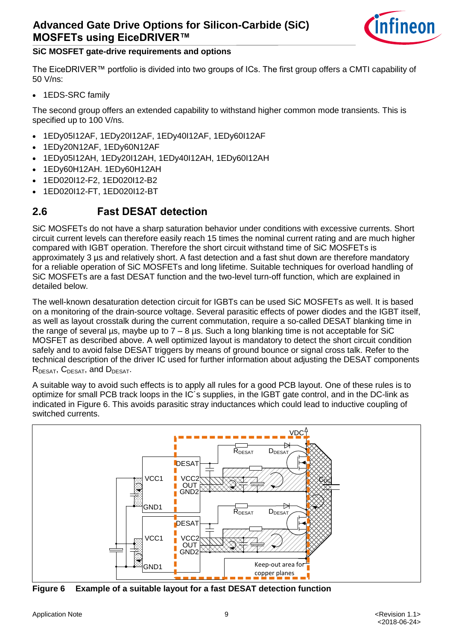

#### **SiC MOSFET gate-drive requirements and options**

The EiceDRIVER™ portfolio is divided into two groups of ICs. The first group offers a CMTI capability of 50 V/ns:

1EDS-SRC family

The second group offers an extended capability to withstand higher common mode transients. This is specified up to 100 V/ns.

- 1EDy05I12AF, 1EDy20I12AF, 1EDy40I12AF, 1EDy60I12AF
- 1EDy20N12AF, 1EDy60N12AF
- 1EDy05I12AH, 1EDy20I12AH, 1EDy40I12AH, 1EDy60I12AH
- 1EDy60H12AH. 1EDy60H12AH
- 1ED020I12-F2, 1ED020I12-B2
- 1ED020I12-FT, 1ED020I12-BT

#### <span id="page-8-0"></span>**2.6 Fast DESAT detection**

SiC MOSFETs do not have a sharp saturation behavior under conditions with excessive currents. Short circuit current levels can therefore easily reach 15 times the nominal current rating and are much higher compared with IGBT operation. Therefore the short circuit withstand time of SiC MOSFETs is approximately 3 us and relatively short. A fast detection and a fast shut down are therefore mandatory for a reliable operation of SiC MOSFETs and long lifetime. Suitable techniques for overload handling of SiC MOSFETs are a fast DESAT function and the two-level turn-off function, which are explained in detailed below.

The well-known desaturation detection circuit for IGBTs can be used SiC MOSFETs as well. It is based on a monitoring of the drain-source voltage. Several parasitic effects of power diodes and the IGBT itself, as well as layout crosstalk during the current commutation, require a so-called DESAT blanking time in the range of several  $\mu$ s, maybe up to  $7 - 8 \mu s$ . Such a long blanking time is not acceptable for SiC MOSFET as described above. A well optimized layout is mandatory to detect the short circuit condition safely and to avoid false DESAT triggers by means of ground bounce or signal cross talk. Refer to the technical description of the driver IC used for further information about adjusting the DESAT components R<sub>DESAT</sub>, C<sub>DESAT</sub>, and D<sub>DESAT</sub>.

A suitable way to avoid such effects is to apply all rules for a good PCB layout. One of these rules is to optimize for small PCB track loops in the IC´s supplies, in the IGBT gate control, and in the DC-link as indicated in [Figure 6.](#page-8-1) This avoids parasitic stray inductances which could lead to inductive coupling of switched currents.



<span id="page-8-1"></span>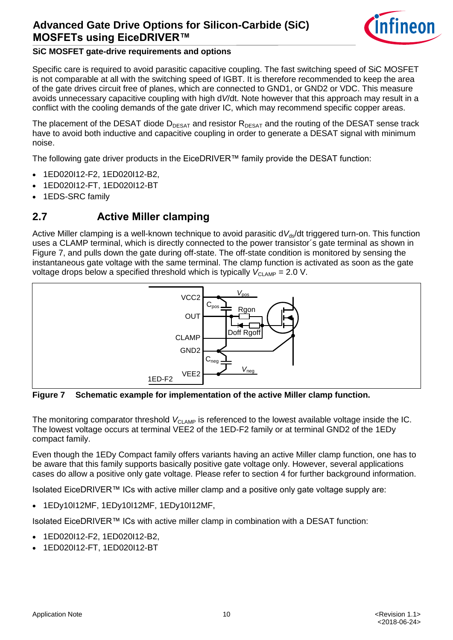

#### **SiC MOSFET gate-drive requirements and options**

Specific care is required to avoid parasitic capacitive coupling. The fast switching speed of SiC MOSFET is not comparable at all with the switching speed of IGBT. It is therefore recommended to keep the area of the gate drives circuit free of planes, which are connected to GND1, or GND2 or VDC. This measure avoids unnecessary capacitive coupling with high d*V*/dt. Note however that this approach may result in a conflict with the cooling demands of the gate driver IC, which may recommend specific copper areas.

The placement of the DESAT diode  $D_{DESAT}$  and resistor  $R_{DESAT}$  and the routing of the DESAT sense track have to avoid both inductive and capacitive coupling in order to generate a DESAT signal with minimum noise.

The following gate driver products in the EiceDRIVER™ family provide the DESAT function:

- 1ED020I12-F2, 1ED020I12-B2,
- 1ED020I12-FT, 1ED020I12-BT
- 1EDS-SRC family

#### <span id="page-9-2"></span><span id="page-9-0"></span>**2.7 Active Miller clamping**

Active Miller clamping is a well-known technique to avoid parasitic dV<sub>ds</sub>/dt triggered turn-on. This function uses a CLAMP terminal, which is directly connected to the power transistor´s gate terminal as shown in [Figure 7,](#page-9-1) and pulls down the gate during off-state. The off-state condition is monitored by sensing the instantaneous gate voltage with the same terminal. The clamp function is activated as soon as the gate voltage drops below a specified threshold which is typically  $V_{\text{CI AMP}} = 2.0 \text{ V}$ .



<span id="page-9-1"></span>**Figure 7 Schematic example for implementation of the active Miller clamp function.**

The monitoring comparator threshold V<sub>CLAMP</sub> is referenced to the lowest available voltage inside the IC. The lowest voltage occurs at terminal VEE2 of the 1ED-F2 family or at terminal GND2 of the 1EDy compact family.

Even though the 1EDy Compact family offers variants having an active Miller clamp function, one has to be aware that this family supports basically positive gate voltage only. However, several applications cases do allow a positive only gate voltage. Please refer to section [4](#page-12-3) for further background information.

Isolated EiceDRIVER™ ICs with active miller clamp and a positive only gate voltage supply are:

1EDy10I12MF, 1EDy10I12MF, 1EDy10I12MF,

Isolated EiceDRIVER™ ICs with active miller clamp in combination with a DESAT function:

- 1ED020I12-F2, 1ED020I12-B2,
- 1ED020I12-FT, 1ED020I12-BT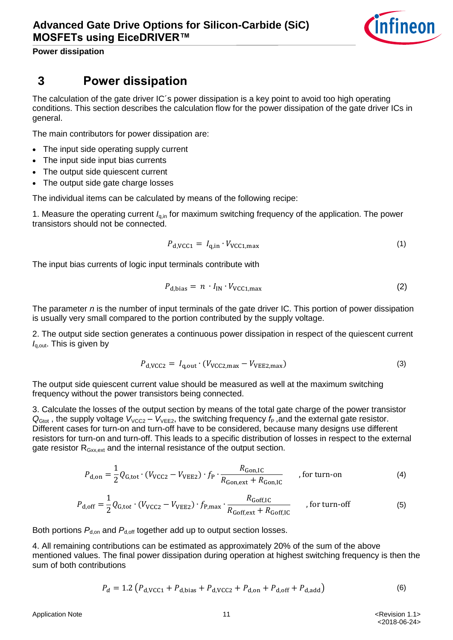

**Power dissipation**

## <span id="page-10-0"></span>**3 Power dissipation**

The calculation of the gate driver IC´s power dissipation is a key point to avoid too high operating conditions. This section describes the calculation flow for the power dissipation of the gate driver ICs in general.

The main contributors for power dissipation are:

- The input side operating supply current
- The input side input bias currents
- The output side quiescent current
- The output side gate charge losses

The individual items can be calculated by means of the following recipe:

1. Measure the operating current *I*q,in for maximum switching frequency of the application. The power transistors should not be connected.

$$
P_{\rm d,VCC1} = I_{\rm q,in} \cdot V_{\rm VCC1,max} \tag{1}
$$

The input bias currents of logic input terminals contribute with

$$
P_{\rm d,bias} = n \cdot I_{\rm IN} \cdot V_{\rm VCC1,max} \tag{2}
$$

The parameter *n* is the number of input terminals of the gate driver IC. This portion of power dissipation is usually very small compared to the portion contributed by the supply voltage.

2. The output side section generates a continuous power dissipation in respect of the quiescent current *I*<sub>q,out</sub>. This is given by

$$
P_{\rm d,VCC2} = I_{\rm q,out} \cdot (V_{\rm VCC2,max} - V_{\rm VEE2,max}) \tag{3}
$$

The output side quiescent current value should be measured as well at the maximum switching frequency without the power transistors being connected.

3. Calculate the losses of the output section by means of the total gate charge of the power transistor  $Q_{\text{Gtot}}$ , the supply voltage  $V_{\text{VCC2}} - V_{\text{VEE2}}$ , the switching frequency  $f_P$ , and the external gate resistor. Different cases for turn-on and turn-off have to be considered, because many designs use different resistors for turn-on and turn-off. This leads to a specific distribution of losses in respect to the external gate resistor R<sub>Gxx,ext</sub> and the internal resistance of the output section.

$$
P_{\rm d,on} = \frac{1}{2} Q_{\rm G,tot} \cdot (V_{\rm VCC2} - V_{\rm VEE2}) \cdot f_{\rm P} \cdot \frac{R_{\rm Gon,IC}}{R_{\rm Gon,ext} + R_{\rm Gon,IC}} \qquad \text{, for turn-on} \tag{4}
$$

$$
P_{\rm d,off} = \frac{1}{2} Q_{\rm G,tot} \cdot (V_{\rm VCC2} - V_{\rm VEE2}) \cdot f_{\rm P,max} \cdot \frac{R_{\rm Goff,IC}}{R_{\rm Goff,ext} + R_{\rm Goff,IC}} \qquad \text{, for turn-off} \tag{5}
$$

Both portions  $P_{\text{dom}}$  and  $P_{\text{doff}}$  together add up to output section losses.

4. All remaining contributions can be estimated as approximately 20% of the sum of the above mentioned values. The final power dissipation during operation at highest switching frequency is then the sum of both contributions

<span id="page-10-1"></span>
$$
P_d = 1.2 \left( P_{d,VCC1} + P_{d,bias} + P_{d,VCC2} + P_{d,on} + P_{d,off} + P_{d,add} \right)
$$
 (6)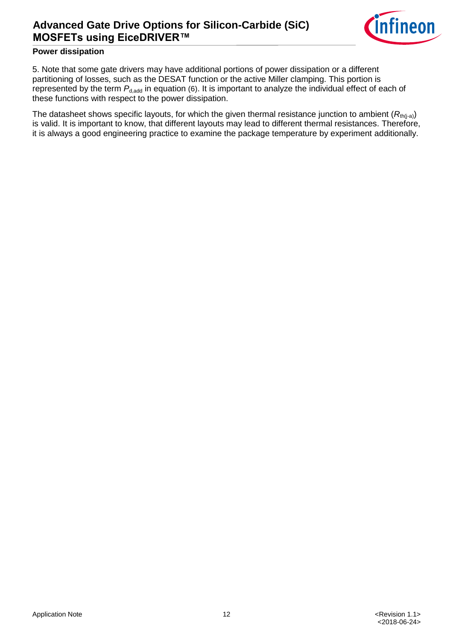

#### **Power dissipation**

5. Note that some gate drivers may have additional portions of power dissipation or a different partitioning of losses, such as the DESAT function or the active Miller clamping. This portion is represented by the term  $P_{d,add}$  in equation [\(6\)](#page-10-1). It is important to analyze the individual effect of each of these functions with respect to the power dissipation.

The datasheet shows specific layouts, for which the given thermal resistance junction to ambient  $(R<sub>th(i-a)</sub>)$ is valid. It is important to know, that different layouts may lead to different thermal resistances. Therefore, it is always a good engineering practice to examine the package temperature by experiment additionally.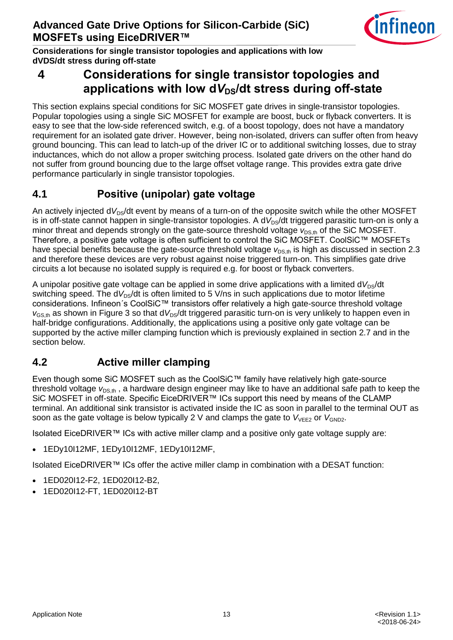

**Considerations for single transistor topologies and applications with low dVDS/dt stress during off-state**

## <span id="page-12-3"></span><span id="page-12-0"></span>**4 Considerations for single transistor topologies and**  applications with low dV<sub>DS</sub>/dt stress during off-state

This section explains special conditions for SiC MOSFET gate drives in single-transistor topologies. Popular topologies using a single SiC MOSFET for example are boost, buck or flyback converters. It is easy to see that the low-side referenced switch, e.g. of a boost topology, does not have a mandatory requirement for an isolated gate driver. However, being non-isolated, drivers can suffer often from heavy ground bouncing. This can lead to latch-up of the driver IC or to additional switching losses, due to stray inductances, which do not allow a proper switching process. Isolated gate drivers on the other hand do not suffer from ground bouncing due to the large offset voltage range. This provides extra gate drive performance particularly in single transistor topologies.

## <span id="page-12-1"></span>**4.1 Positive (unipolar) gate voltage**

An actively injected d<sub>V<sub>D</sub>s/dt event by means of a turn-on of the opposite switch while the other MOSFET</sub> is in off-state cannot happen in single-transistor topologies. A dV<sub>DS</sub>/dt triggered parasitic turn-on is only a minor threat and depends strongly on the gate-source threshold voltage  $V_{DSth}$  of the SiC MOSFET. Therefore, a positive gate voltage is often sufficient to control the SiC MOSFET. CoolSiC™ MOSFETs have special benefits because the gate-source threshold voltage  $v_{\text{DS},th}$  is high as discussed in section [2.3](#page-5-3) and therefore these devices are very robust against noise triggered turn-on. This simplifies gate drive circuits a lot because no isolated supply is required e.g. for boost or flyback converters.

A unipolar positive gate voltage can be applied in some drive applications with a limited  $dV_{DS}/dt$ switching speed. The  $dV_{DS}/dt$  is often limited to 5 V/ns in such applications due to motor lifetime considerations. Infineon´s CoolSiC™ transistors offer relatively a high gate-source threshold voltage  $v_{\rm GSB}$  as shown in [Figure 3](#page-5-2) so that d $V_{\rm DS}/dt$  triggered parasitic turn-on is very unlikely to happen even in half-bridge configurations. Additionally, the applications using a positive only gate voltage can be supported by the active miller clamping function which is previously explained in section [2.7](#page-9-2) and in the section below.

## <span id="page-12-2"></span>**4.2 Active miller clamping**

Even though some SiC MOSFET such as the CoolSiC™ family have relatively high gate-source threshold voltage  $v_{DS,th}$ , a hardware design engineer may like to have an additional safe path to keep the SiC MOSFET in off-state. Specific EiceDRIVER™ ICs support this need by means of the CLAMP terminal. An additional sink transistor is activated inside the IC as soon in parallel to the terminal OUT as soon as the gate voltage is below typically 2 V and clamps the gate to  $V_{\text{VEE2}}$  or  $V_{\text{GND2}}$ .

Isolated EiceDRIVER™ ICs with active miller clamp and a positive only gate voltage supply are:

1EDy10I12MF, 1EDy10I12MF, 1EDy10I12MF,

Isolated EiceDRIVER™ ICs offer the active miller clamp in combination with a DESAT function:

- 1ED020I12-F2, 1ED020I12-B2,
- 1ED020I12-FT, 1ED020I12-BT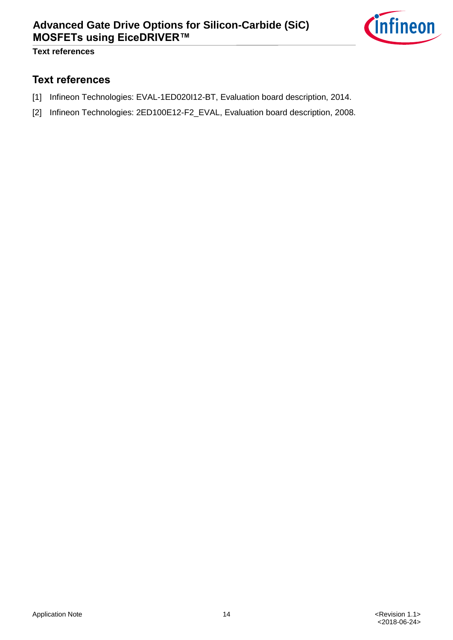

**Text references**

#### <span id="page-13-0"></span>**Text references**

- <span id="page-13-1"></span>[1] Infineon Technologies: EVAL-1ED020I12-BT, Evaluation board description, 2014.
- <span id="page-13-2"></span>[2] Infineon Technologies: 2ED100E12-F2\_EVAL, Evaluation board description, 2008.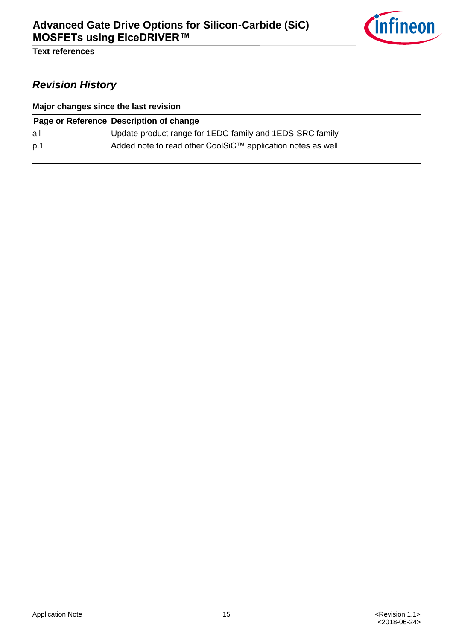

**Text references**

## *Revision History*

#### **Major changes since the last revision**

|     | Page or Reference Description of change                     |
|-----|-------------------------------------------------------------|
| all | Update product range for 1EDC-family and 1EDS-SRC family    |
| p.1 | Added note to read other CoolSiC™ application notes as well |
|     |                                                             |